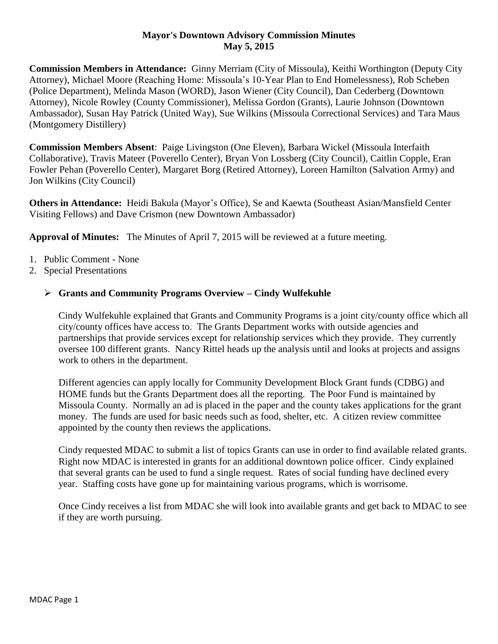### **Mayor's Downtown Advisory Commission Minutes May 5, 2015**

**Commission Members in Attendance:** Ginny Merriam (City of Missoula), Keithi Worthington (Deputy City Attorney), Michael Moore (Reaching Home: Missoula's 10-Year Plan to End Homelessness), Rob Scheben (Police Department), Melinda Mason (WORD), Jason Wiener (City Council), Dan Cederberg (Downtown Attorney), Nicole Rowley (County Commissioner), Melissa Gordon (Grants), Laurie Johnson (Downtown Ambassador), Susan Hay Patrick (United Way), Sue Wilkins (Missoula Correctional Services) and Tara Maus (Montgomery Distillery)

**Commission Members Absent**: Paige Livingston (One Eleven), Barbara Wickel (Missoula Interfaith Collaborative), Travis Mateer (Poverello Center), Bryan Von Lossberg (City Council), Caitlin Copple, Eran Fowler Pehan (Poverello Center), Margaret Borg (Retired Attorney), Loreen Hamilton (Salvation Army) and Jon Wilkins (City Council)

**Others in Attendance:** Heidi Bakula (Mayor's Office), Se and Kaewta (Southeast Asian/Mansfield Center Visiting Fellows) and Dave Crismon (new Downtown Ambassador)

**Approval of Minutes:** The Minutes of April 7, 2015 will be reviewed at a future meeting.

- 1. Public Comment None
- 2. Special Presentations

# **Grants and Community Programs Overview – Cindy Wulfekuhle**

Cindy Wulfekuhle explained that Grants and Community Programs is a joint city/county office which all city/county offices have access to. The Grants Department works with outside agencies and partnerships that provide services except for relationship services which they provide. They currently oversee 100 different grants. Nancy Rittel heads up the analysis until and looks at projects and assigns work to others in the department.

Different agencies can apply locally for Community Development Block Grant funds (CDBG) and HOME funds but the Grants Department does all the reporting. The Poor Fund is maintained by Missoula County. Normally an ad is placed in the paper and the county takes applications for the grant money. The funds are used for basic needs such as food, shelter, etc. A citizen review committee appointed by the county then reviews the applications.

Cindy requested MDAC to submit a list of topics Grants can use in order to find available related grants. Right now MDAC is interested in grants for an additional downtown police officer. Cindy explained that several grants can be used to fund a single request. Rates of social funding have declined every year. Staffing costs have gone up for maintaining various programs, which is worrisome.

Once Cindy receives a list from MDAC she will look into available grants and get back to MDAC to see if they are worth pursuing.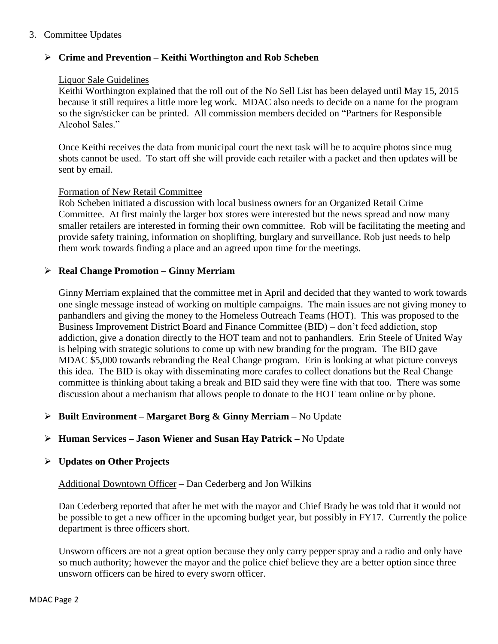### 3. Committee Updates

## **Crime and Prevention – Keithi Worthington and Rob Scheben**

#### Liquor Sale Guidelines

Keithi Worthington explained that the roll out of the No Sell List has been delayed until May 15, 2015 because it still requires a little more leg work. MDAC also needs to decide on a name for the program so the sign/sticker can be printed. All commission members decided on "Partners for Responsible Alcohol Sales."

Once Keithi receives the data from municipal court the next task will be to acquire photos since mug shots cannot be used. To start off she will provide each retailer with a packet and then updates will be sent by email.

#### Formation of New Retail Committee

Rob Scheben initiated a discussion with local business owners for an Organized Retail Crime Committee. At first mainly the larger box stores were interested but the news spread and now many smaller retailers are interested in forming their own committee. Rob will be facilitating the meeting and provide safety training, information on shoplifting, burglary and surveillance. Rob just needs to help them work towards finding a place and an agreed upon time for the meetings.

#### **Real Change Promotion – Ginny Merriam**

Ginny Merriam explained that the committee met in April and decided that they wanted to work towards one single message instead of working on multiple campaigns. The main issues are not giving money to panhandlers and giving the money to the Homeless Outreach Teams (HOT). This was proposed to the Business Improvement District Board and Finance Committee (BID) – don't feed addiction, stop addiction, give a donation directly to the HOT team and not to panhandlers. Erin Steele of United Way is helping with strategic solutions to come up with new branding for the program. The BID gave MDAC \$5,000 towards rebranding the Real Change program. Erin is looking at what picture conveys this idea. The BID is okay with disseminating more carafes to collect donations but the Real Change committee is thinking about taking a break and BID said they were fine with that too. There was some discussion about a mechanism that allows people to donate to the HOT team online or by phone.

# **Built Environment – Margaret Borg & Ginny Merriam –** No Update

#### **Human Services – Jason Wiener and Susan Hay Patrick –** No Update

#### **Updates on Other Projects**

#### Additional Downtown Officer – Dan Cederberg and Jon Wilkins

Dan Cederberg reported that after he met with the mayor and Chief Brady he was told that it would not be possible to get a new officer in the upcoming budget year, but possibly in FY17. Currently the police department is three officers short.

Unsworn officers are not a great option because they only carry pepper spray and a radio and only have so much authority; however the mayor and the police chief believe they are a better option since three unsworn officers can be hired to every sworn officer.